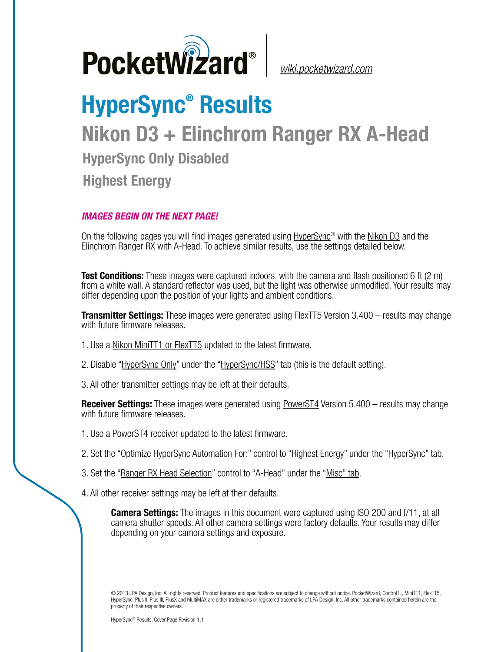

*[wiki.pocketwizard.com](http://wiki.pocketwizard.com/)*

## **HyperSync® Results Nikon D3 + Elinchrom Ranger RX A-Head HyperSync Only Disabled Highest Energy**

## *IMAGES BEGIN ON THE NEXT PAGE!*

On the following pages you will find images generated using [HyperSync](http://wiki.pocketwizard.com/index.php?title=Hypersync)® with the [Nikon D3](http://wiki.pocketwizard.com/index.php?title=Nikon_D3) and the Elinchrom Ranger RX with A-Head. To achieve similar results, use the settings detailed below.

**Test Conditions:** These images were captured indoors, with the camera and flash positioned 6 ft (2 m) from a white wall. A standard reflector was used, but the light was otherwise unmodified. Your results may differ depending upon the position of your lights and ambient conditions.

**Transmitter Settings:** These images were generated using FlexTT5 Version 3.400 – results may change with future firmware releases.

- 1. Use a [Nikon MiniTT1 or FlexTT5](http://wiki.pocketwizard.com/index.php?title=MiniTT1_and_FlexTT5) updated to the latest firmware.
- 2. Disable "[HyperSync Only](http://wiki.pocketwizard.com/index.php?title=Hypersync_hss_tab#HyperSync_Only_.28Disable_HSS.2FFP.29)" under the ["HyperSync/HSS](http://wiki.pocketwizard.com/index.php?title=Hypersync_hss_tab)" tab (this is the default setting).
- 3. All other transmitter settings may be left at their defaults.

**Receiver Settings:** These images were generated using [PowerST4](http://wiki.pocketwizard.com/index.php?title=PowerST4) Version 5.400 – results may change with future firmware releases.

- 1. Use a PowerST4 receiver updated to the latest firmware.
- 2. Set the "[Optimize HyperSync Automation For:](http://wiki.pocketwizard.com/index.php?title=HyperSync/HSS_Tab#Optimize_HyperSync_Automation_For:)" control to ["Highest Energy"](http://wiki.pocketwizard.com/index.php?title=HyperSync/HSS_Tab#Optimize_HyperSync_Automation_For:) under the ["HyperSync" tab.](http://wiki.pocketwizard.com/index.php?title=Hypersync_tab)
- 3. Set the "[Ranger RX Head Selection"](http://wiki.pocketwizard.com/index.php?title=Misc_Tab#Ranger_RX_Head_Selection) control to "A-Head" under the ["Misc" tab](http://wiki.pocketwizard.com/index.php?title=Misc_Tab).
- 4. All other receiver settings may be left at their defaults.

**Camera Settings:** The images in this document were captured using ISO 200 and f/11, at all camera shutter speeds. All other camera settings were factory defaults. Your results may differ depending on your camera settings and exposure.

© 2013 LPA Design, Inc. All rights reserved. Product features and specifications are subject to change without notice. PocketWizard, ControlTL, MiniTT1, FlexTT5, HyperSync, Plus II, Plus III, PlusX and MultiMAX are either trademarks or registered trademarks of LPA Design, Inc. All other trademarks contained herein are the property of their respective owners.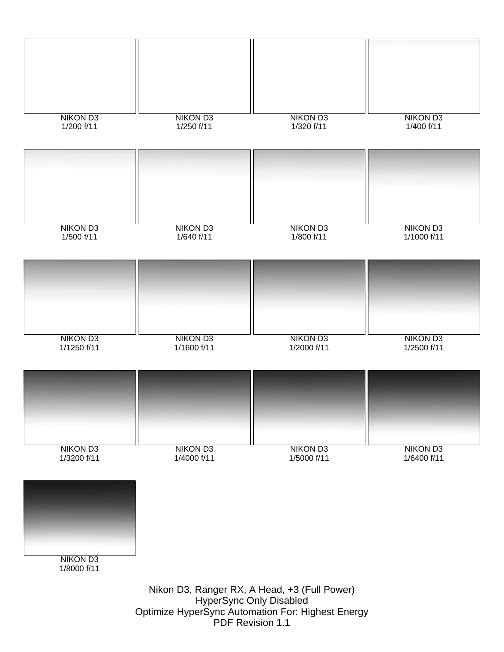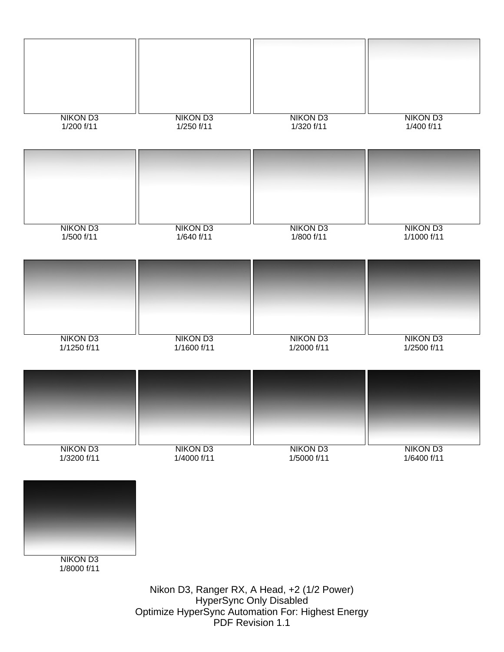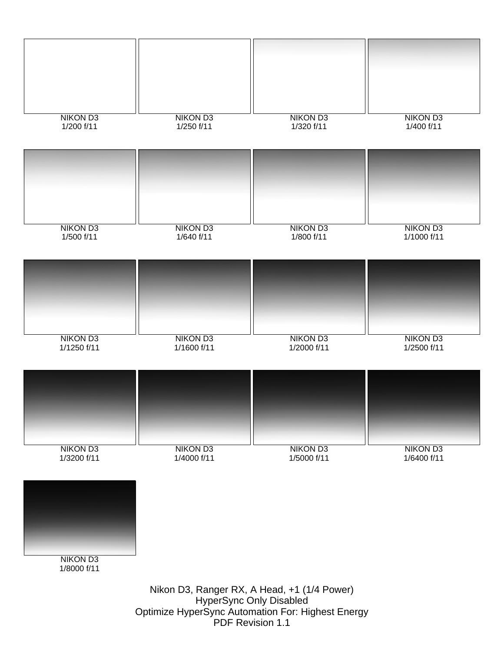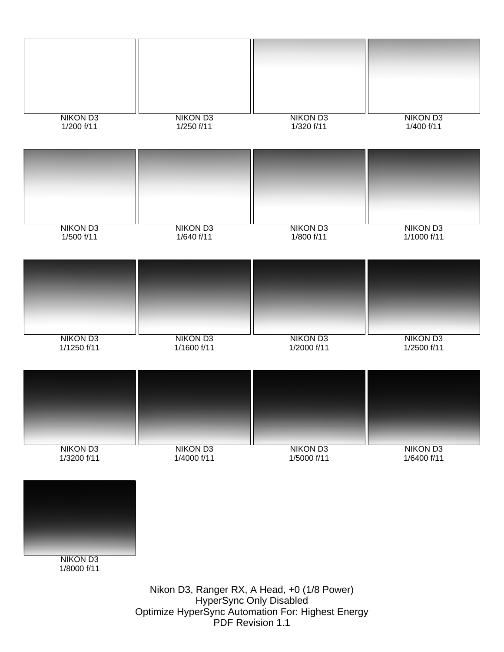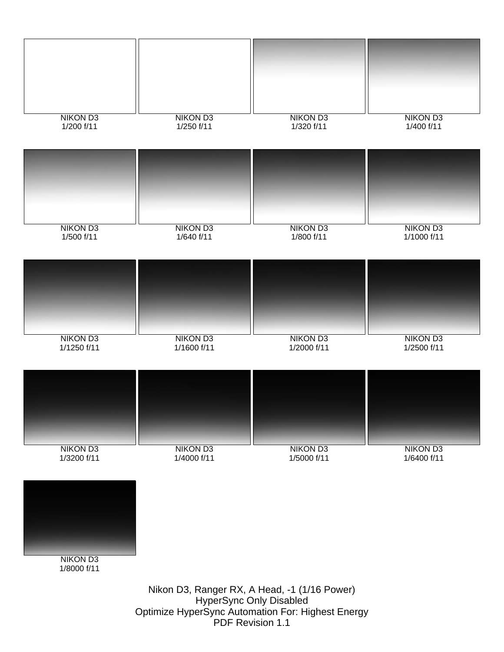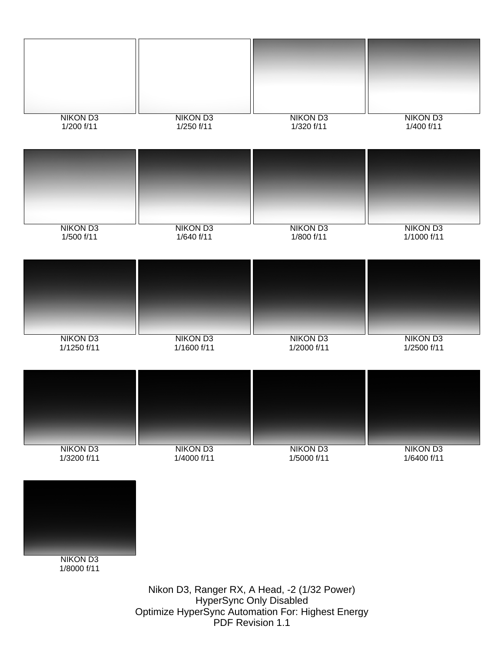